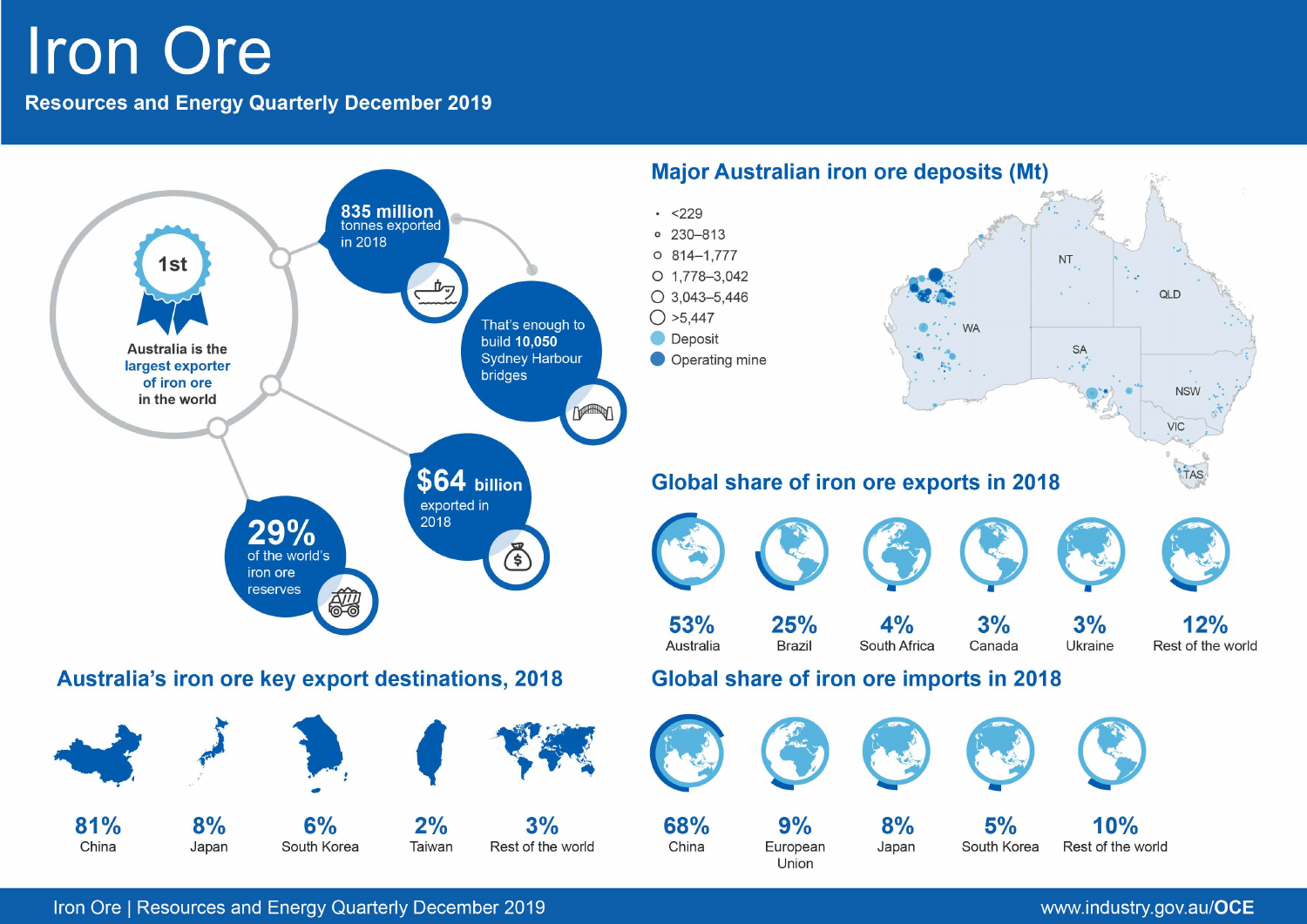# **Iron Ore**

**Resources and Energy Quarterly December 2019** 



Iron Ore | Resources and Energy Quarterly December 2019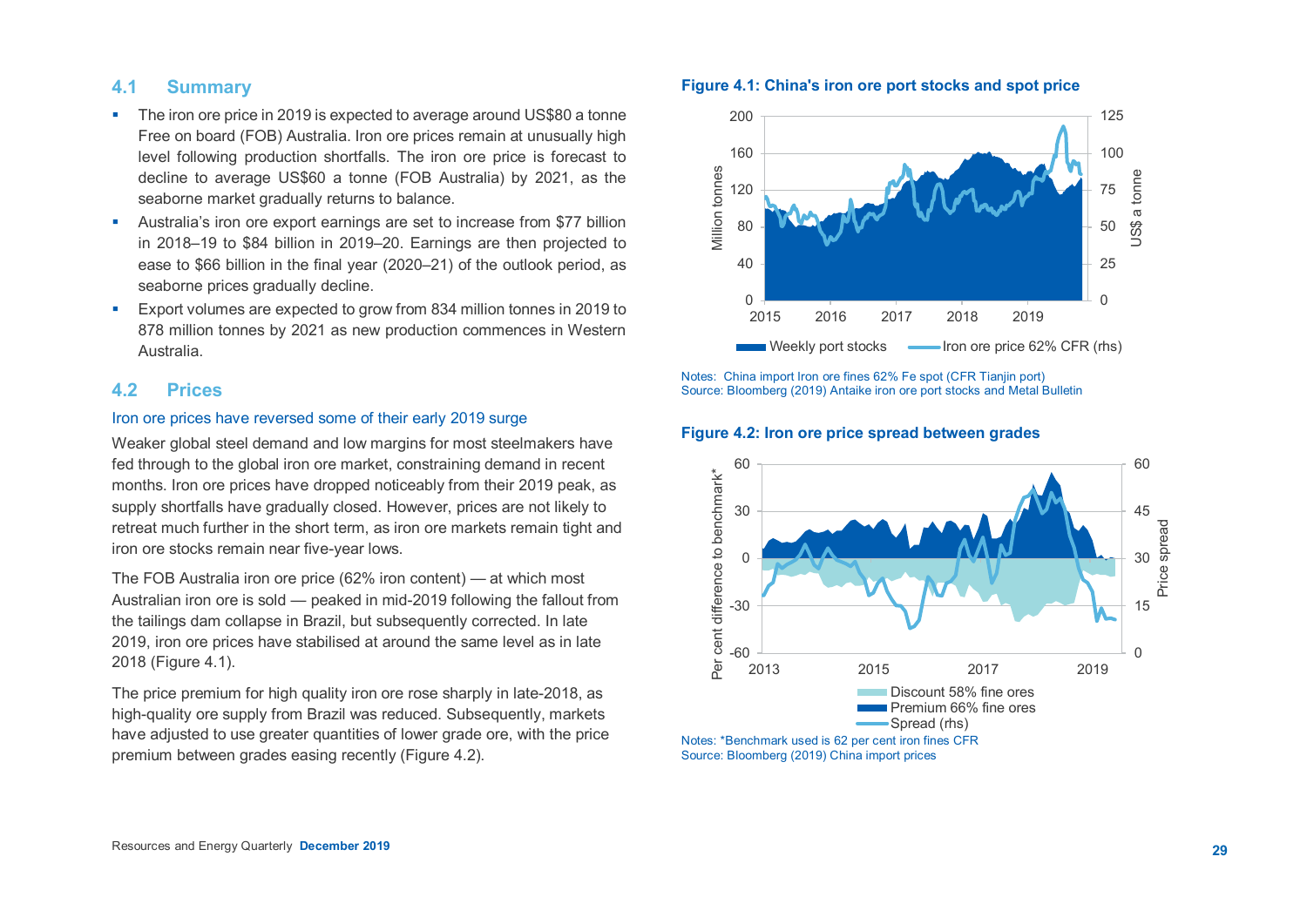# **4.1 Summary**

- The iron ore price in 2019 is expected to average around US\$80 a tonne Free on board (FOB) Australia. Iron ore prices remain at unusually high level following production shortfalls. The iron ore price is forecast to decline to average US\$60 a tonne (FOB Australia) by 2021, as the seaborne market gradually returns to balance.
- Australia's iron ore export earnings are set to increase from \$77 billion in 2018–19 to \$84 billion in 2019–20. Earnings are then projected to ease to \$66 billion in the final year (2020–21) of the outlook period, as seaborne prices gradually decline.
- **Export volumes are expected to grow from 834 million tonnes in 2019 to** 878 million tonnes by 2021 as new production commences in Western Australia.

# **4.2 Prices**

# Iron ore prices have reversed some of their early 2019 surge

Weaker global steel demand and low margins for most steelmakers have fed through to the global iron ore market, constraining demand in recent months. Iron ore prices have dropped noticeably from their 2019 peak, as supply shortfalls have gradually closed. However, prices are not likely to retreat much further in the short term, as iron ore markets remain tight and iron ore stocks remain near five-year lows.

The FOB Australia iron ore price (62% iron content) — at which most Australian iron ore is sold — peaked in mid-2019 following the fallout from the tailings dam collapse in Brazil, but subsequently corrected. In late 2019, iron ore prices have stabilised at around the same level as in late 2018 (Figure 4.1).

The price premium for high quality iron ore rose sharply in late-2018, as high-quality ore supply from Brazil was reduced. Subsequently, markets have adjusted to use greater quantities of lower grade ore, with the price premium between grades easing recently (Figure 4.2).

## **Figure 4.1: China's iron ore port stocks and spot price**



Notes: China import Iron ore fines 62% Fe spot (CFR Tianjin port) Source: Bloomberg (2019) Antaike iron ore port stocks and Metal Bulletin



#### **Figu re 4.2: Iron ore price spread between grades**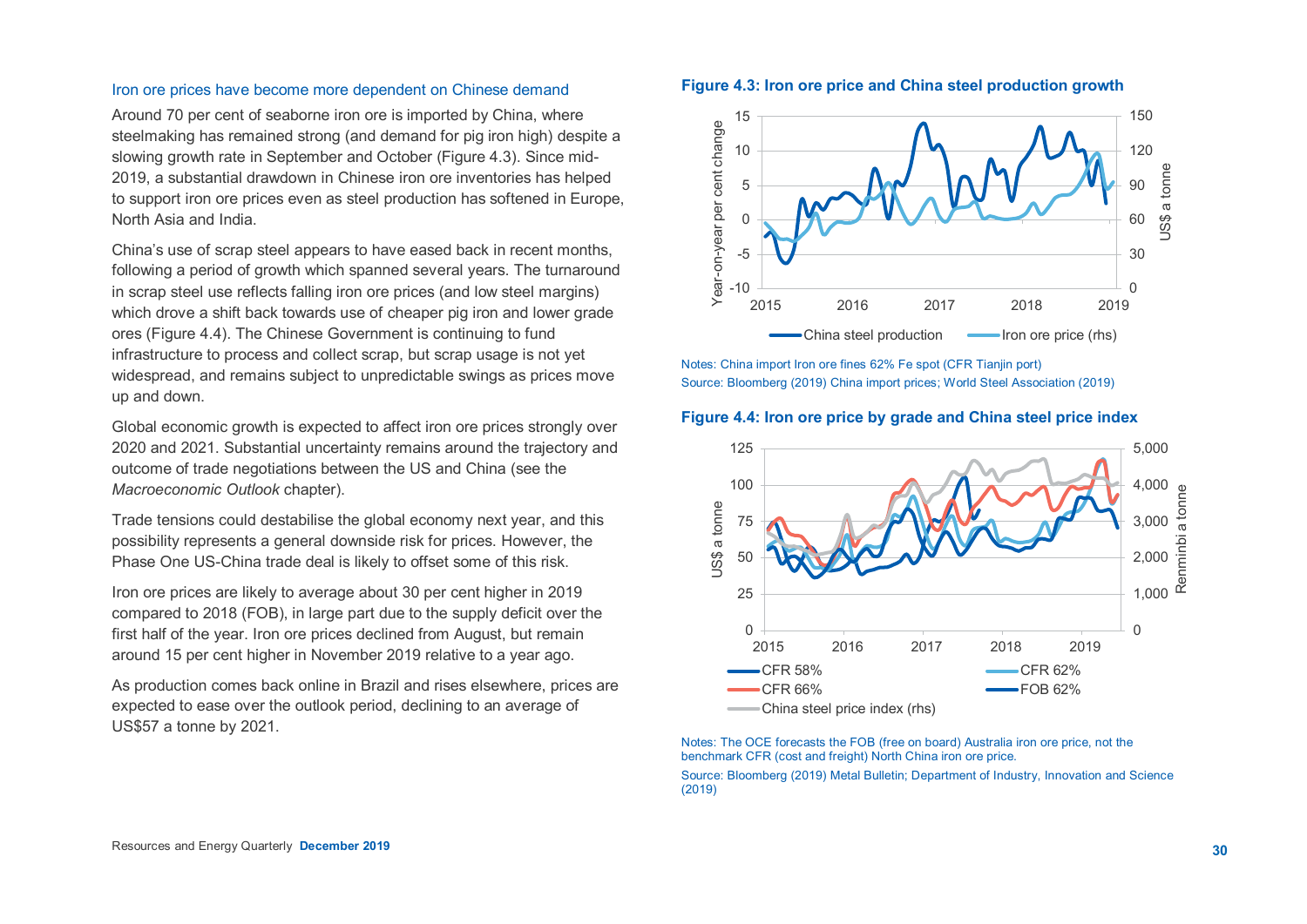#### Iron ore prices have become more dependent on Chinese demand

Around 70 per cent of seaborne iron ore is imported by China, where steelmaking has remained strong (and demand for pig iron high) despite a slowing growth rate in September and October (Figure 4.3). Since mid-2019, a substantial drawdown in Chinese iron ore inventories has helped to support iron ore prices even as steel production has softened in Europe, North Asia and India.

China's use of scrap steel appears to have eased back in recent months, following a period of growth which spanned several years. The turnaround in scrap steel use reflects falling iron ore prices (and low steel margins) which drove a shift back towards use of cheaper pig iron and lower grade ores (Figure 4.4). The Chinese Government is continuing to fund infrastructure to process and collect scrap, but scrap usage is not yet widespread, and remains subject to unpredictable swings as prices move up and down.

Global economic growth is expected to affect iron ore prices strongly over 2020 and 2021. Substantial uncertainty remains around the trajectory and outcome of trade negotiations between the US and China (see the *Macroeconomic Outlook* chapter).

Trade tensions could destabilise the global economy next year, and this possibility represents a general downside risk for prices. However, the Phase One US-China trade deal is likely to offset some of this risk.

Iron ore prices are likely to average about 30 per cent higher in 2019 compared to 2018 (FOB), in large part due to the supply deficit over the first half of the year. Iron ore prices declined from August, but remain around 15 per cent higher in November 2019 relative to a year ago.

As production comes back online in Brazil and rises elsewhere, prices are expected to ease over the outlook period, declining to an average of US\$57 a tonne by 2021.





Notes: China import Iron ore fines 62% Fe spot (CFR Tianjin port) Source: Bloomberg (2019) China import prices; World Steel Association (2019)

## **Figure 4.4: Iron ore price by grade and China steel price index**



Notes: The OCE forecasts the FOB (free on board) Australia iron ore price, not the benchmark CFR (cost and freight) North China iron ore price.

Source: Bloomberg (2019) Metal Bulletin; Department of Industry, Innovation and Science (2019)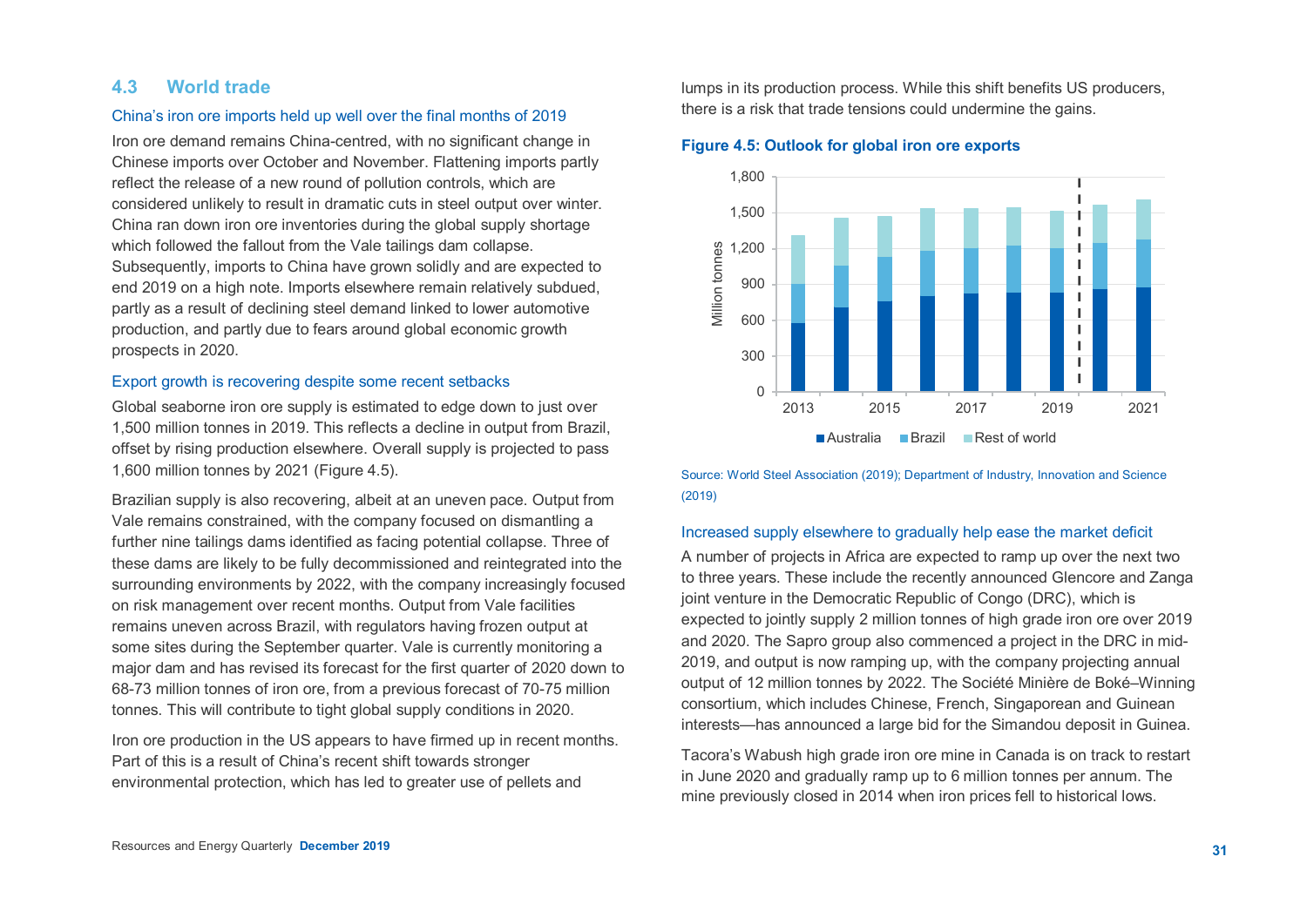# **4.3 World trade**

## China's iron ore imports held up well over the final months of 2019

Iron ore demand remains China-centred, with no significant change in Chinese imports over October and November. Flattening imports partly reflect the release of a new round of pollution controls, which are considered unlikely to result in dramatic cuts in steel output over winter. China ran down iron ore inventories during the global supply shortage which followed the fallout from the Vale tailings dam collapse. Subsequently, imports to China have grown solidly and are expected to end 2019 on a high note. Imports elsewhere remain relatively subdued, partly as a result of declining steel demand linked to lower automotive production, and partly due to fears around global economic growth prospects in 2020.

## Export growth is recovering despite some recent setbacks

Global seaborne iron ore supply is estimated to edge down to just over 1,500 million tonnes in 2019. This reflects a decline in output from Brazil, offset by rising production elsewhere. Overall supply is projected to pass 1,600 million tonnes by 2021 (Figure 4.5).

Brazilian supply is also recovering, albeit at an uneven pace. Output from Vale remains constrained, with the company focused on dismantling a further nine tailings dams identified as facing potential collapse. Three of these dams are likely to be fully decommissioned and reintegrated into the surrounding environments by 2022, with the company increasingly focused on risk management over recent months. Output from Vale facilities remains uneven across Brazil, with regulators having frozen output at some sites during the September quarter. Vale is currently monitoring a major dam and has revised its forecast for the first quarter of 2020 down to 68-73 million tonnes of iron ore, from a previous forecast of 70-75 million tonnes. This will contribute to tight global supply conditions in 2020.

Iron ore production in the US appears to have firmed up in recent months. Part of this is a result of China's recent shift towards stronger environmental protection, which has led to greater use of pellets and

lumps in its production process. While this shift benefits US producers, there is a risk that trade tensions could undermine the gains.

#### **Figure 4.5: Outlook for global iron ore exports**



Source: World Steel Association (2019); Department of Industry, Innovation and Science (2019)

## Increased supply elsewhere to gradually help ease the market deficit

A number of projects in Africa are expected to ramp up over the next two to three years. These include the recently announced Glencore and Zanga joint venture in the Democratic Republic of Congo (DRC), which is expected to jointly supply 2 million tonnes of high grade iron ore over 2019 and 2020. The Sapro group also commenced a project in the DRC in mid-2019, and output is now ramping up, with the company projecting annual output of 12 million tonnes by 2022. The Société Minière de Boké–Winning consortium, which includes Chinese, French, Singaporean and Guinean interests—has announced a large bid for the Simandou deposit in Guinea.

Tacora's Wabush high grade iron ore mine in Canada is on track to restart in June 2020 and gradually ramp up to 6 million tonnes per annum. The mine previously closed in 2014 when iron prices fell to historical lows.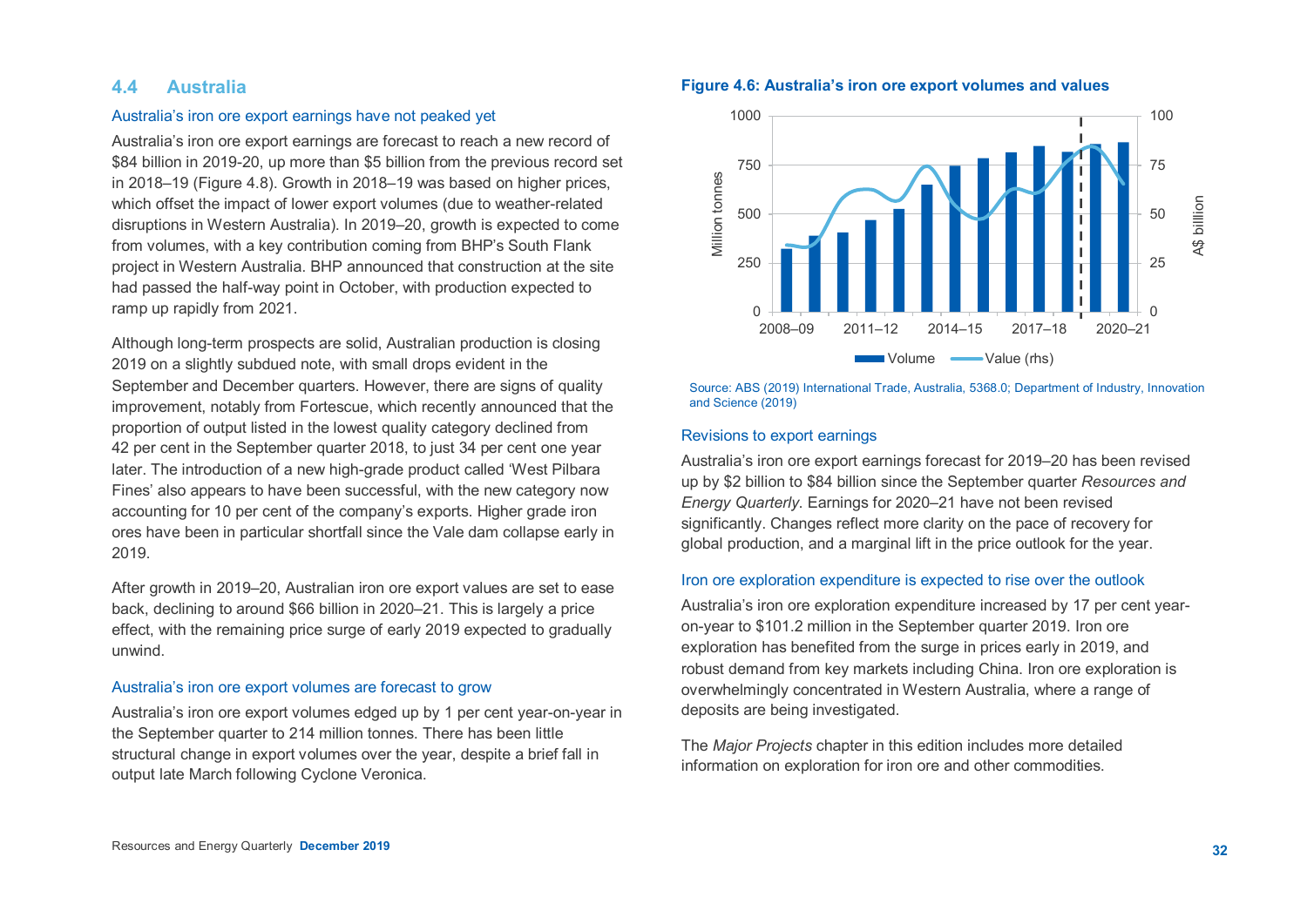# **4.4 Australia**

## Australia's iron ore export earnings have not peaked yet

Australia's iron ore export earnings are forecast to reach a new record of \$84 billion in 2019-20, up more than \$5 billion from the previous record set in 2018–19 (Figure 4.8). Growth in 2018–19 was based on higher prices, which offset the impact of lower export volumes (due to weather-related disruptions in Western Australia). In 2019–20, growth is expected to come from volumes, with a key contribution coming from BHP's South Flank project in Western Australia. BHP announced that construction at the site had passed the half-way point in October, with production expected to ramp up rapidly from 2021.

Although long-term prospects are solid, Australian production is closing 2019 on a slightly subdued note, with small drops evident in the September and December quarters. However, there are signs of quality improvement, notably from Fortescue, which recently announced that the proportion of output listed in the lowest quality category declined from 42 per cent in the September quarter 2018, to just 34 per cent one year later. The introduction of a new high-grade product called 'West Pilbara Fines' also appears to have been successful, with the new category now accounting for 10 per cent of the company's exports. Higher grade iron ores have been in particular shortfall since the Vale dam collapse early in 2019.

After growth in 2019–20, Australian iron ore export values are set to ease back, declining to around \$66 billion in 2020–21. This is largely a price effect, with the remaining price surge of early 2019 expected to gradually unwind.

## Australia's iron ore export volumes are forecast to grow

Australia's iron ore export volumes edged up by 1 per cent year-on-year in the September quarter to 214 million tonnes. There has been little structural change in export volumes over the year, despite a brief fall in output late March following Cyclone Veronica.

#### **Figure 4.6: Australia's iron ore export volumes and values**



Source: ABS (2019) International Trade, Australia, 5368.0; Department of Industry, Innovation and Science (2019)

#### Revisions to export earnings

Australia's iron ore export earnings forecast for 2019–20 has been revised up by \$2 billion to \$84 billion since the September quarter *Resources and Energy Quarterly*. Earnings for 2020–21 have not been revised significantly. Changes reflect more clarity on the pace of recovery for global production, and a marginal lift in the price outlook for the year.

#### Iron ore exploration expenditure is expected to rise over the outlook

Australia's iron ore exploration expenditure increased by 17 per cent yearon-year to \$101.2 million in the September quarter 2019. Iron ore exploration has benefited from the surge in prices early in 2019, and robust demand from key markets including China. Iron ore exploration is overwhelmingly concentrated in Western Australia, where a range of deposits are being investigated.

The *Major Projects* chapter in this edition includes more detailed information on exploration for iron ore and other commodities.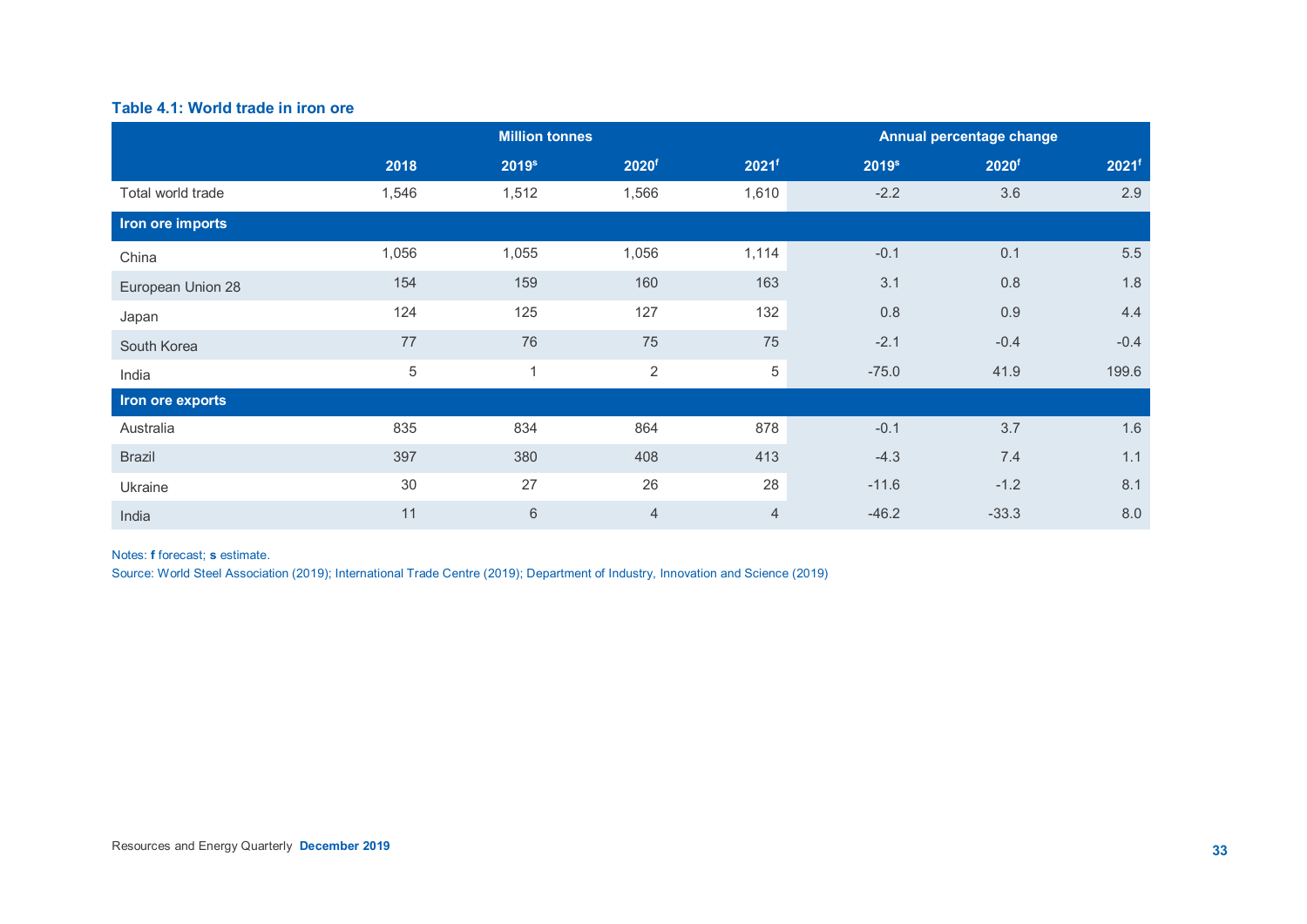# **Table 4.1: World trade in iron ore**

|                   |       | <b>Million tonnes</b> |                   | Annual percentage change |                   |                   |                   |
|-------------------|-------|-----------------------|-------------------|--------------------------|-------------------|-------------------|-------------------|
|                   | 2018  | 2019 <sup>s</sup>     | 2020 <sup>f</sup> | 2021f                    | 2019 <sup>s</sup> | 2020 <sup>f</sup> | 2021 <sup>f</sup> |
| Total world trade | 1,546 | 1,512                 | 1,566             | 1,610                    | $-2.2$            | 3.6               | 2.9               |
| Iron ore imports  |       |                       |                   |                          |                   |                   |                   |
| China             | 1,056 | 1,055                 | 1,056             | 1,114                    | $-0.1$            | 0.1               | 5.5               |
| European Union 28 | 154   | 159                   | 160               | 163                      | 3.1               | 0.8               | 1.8               |
| Japan             | 124   | 125                   | 127               | 132                      | 0.8               | 0.9               | 4.4               |
| South Korea       | 77    | 76                    | 75                | 75                       | $-2.1$            | $-0.4$            | $-0.4$            |
| India             | 5     | $\mathbf{1}$          | $\overline{2}$    | 5                        | $-75.0$           | 41.9              | 199.6             |
| Iron ore exports  |       |                       |                   |                          |                   |                   |                   |
| Australia         | 835   | 834                   | 864               | 878                      | $-0.1$            | 3.7               | 1.6               |
| <b>Brazil</b>     | 397   | 380                   | 408               | 413                      | $-4.3$            | 7.4               | 1.1               |
| Ukraine           | 30    | 27                    | 26                | 28                       | $-11.6$           | $-1.2$            | 8.1               |
| India             | 11    | $\,6\,$               | $\overline{4}$    | $\overline{4}$           | $-46.2$           | $-33.3$           | 8.0               |

# Notes: **f** forecast; **s** estimate.

Source: World Steel Association (2019); International Trade Centre (2019); Department of Industry, Innovation and Science (2019)